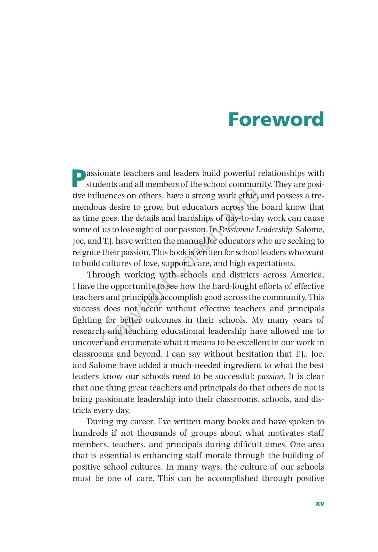## Foreword

Passionate teachers and leaders build powerful relationships with students and all members of the school community. They are positive influences on others, have a strong work ethic, and possess a tremendous desire to grow, but educators across the board know that as time goes, the details and hardships of day-to-day work can cause some of us to lose sight of our passion. In *Passionate Leadership*, Salome, Joe, and T.J. have written the manual for educators who are seeking to reignite their passion. This book is written for school leaders who want to build cultures of love, support, care, and high expectations. dent data in the series of the school community<br>uences on others, have a strong work ethic, and desire to grow, but educators across the b<br>goes, the details and hardships of day-to-day<br>i us to lose sight of our passion. In

Through working with schools and districts across America, I have the opportunity to see how the hard-fought efforts of effective teachers and principals accomplish good across the community. This success does not occur without effective teachers and principals fighting for better outcomes in their schools. My many years of research and teaching educational leadership have allowed me to uncover and enumerate what it means to be excellent in our work in classrooms and beyond. I can say without hesitation that T.J., Joe, and Salome have added a much-needed ingredient to what the best leaders know our schools need to be successful: *passion*. It is clear that one thing great teachers and principals do that others do not is bring passionate leadership into their classrooms, schools, and districts every day.

During my career, I've written many books and have spoken to hundreds if not thousands of groups about what motivates staff members, teachers, and principals during difficult times. One area that is essential is enhancing staff morale through the building of positive school cultures. In many ways, the culture of our schools must be one of care. This can be accomplished through positive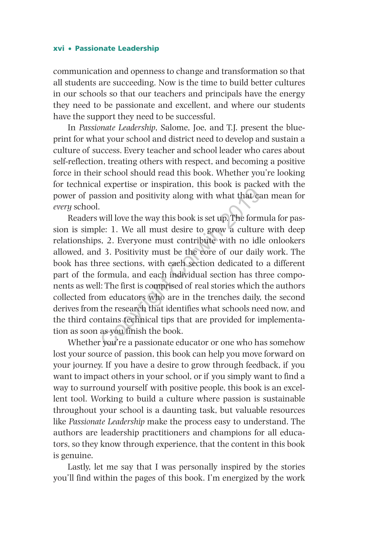## xvi • Passionate Leadership

communication and openness to change and transformation so that all students are succeeding. Now is the time to build better cultures in our schools so that our teachers and principals have the energy they need to be passionate and excellent, and where our students have the support they need to be successful.

In *Passionate Leadership*, Salome, Joe, and T.J. present the blueprint for what your school and district need to develop and sustain a culture of success. Every teacher and school leader who cares about self-reflection, treating others with respect, and becoming a positive force in their school should read this book. Whether you're looking for technical expertise or inspiration, this book is packed with the power of passion and positivity along with what that can mean for *every* school.

Readers will love the way this book is set up. The formula for passion is simple: 1. We all must desire to grow a culture with deep relationships, 2. Everyone must contribute with no idle onlookers allowed, and 3. Positivity must be the core of our daily work. The book has three sections, with each section dedicated to a different part of the formula, and each individual section has three components as well: The first is comprised of real stories which the authors collected from educators who are in the trenches daily, the second derives from the research that identifies what schools need now, and the third contains technical tips that are provided for implementation as soon as you finish the book. Example and positivity along with what that can<br>will love the way this book is set up. The formule: 1. We all must desire to grow a culture<br>s, 2. Everyone must contribute with no idle<br>13. Positivity must be the core of our

Whether you're a passionate educator or one who has somehow lost your source of passion, this book can help you move forward on your journey. If you have a desire to grow through feedback, if you want to impact others in your school, or if you simply want to find a way to surround yourself with positive people, this book is an excellent tool. Working to build a culture where passion is sustainable throughout your school is a daunting task, but valuable resources like *Passionate Leadership* make the process easy to understand. The authors are leadership practitioners and champions for all educators, so they know through experience, that the content in this book is genuine.

Lastly, let me say that I was personally inspired by the stories you'll find within the pages of this book. I'm energized by the work